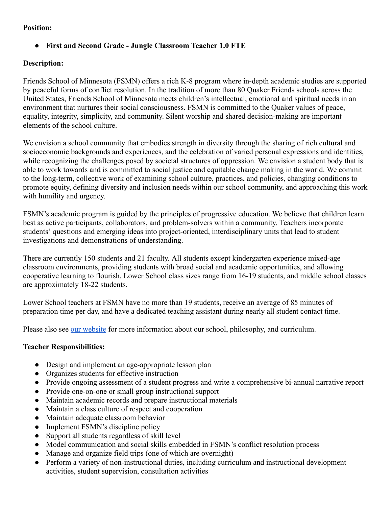# **Position:**

# ● **First and Second Grade - Jungle Classroom Teacher 1.0 FTE**

### **Description:**

Friends School of Minnesota (FSMN) offers a rich K-8 program where in-depth academic studies are supported by peaceful forms of conflict resolution. In the tradition of more than 80 Quaker Friends schools across the United States, Friends School of Minnesota meets children's intellectual, emotional and spiritual needs in an environment that nurtures their social consciousness. FSMN is committed to the Quaker values of peace, equality, integrity, simplicity, and community. Silent worship and shared decision-making are important elements of the school culture.

We envision a school community that embodies strength in diversity through the sharing of rich cultural and socioeconomic backgrounds and experiences, and the celebration of varied personal expressions and identities, while recognizing the challenges posed by societal structures of oppression. We envision a student body that is able to work towards and is committed to social justice and equitable change making in the world. We commit to the long-term, collective work of examining school culture, practices, and policies, changing conditions to promote equity, defining diversity and inclusion needs within our school community, and approaching this work with humility and urgency.

FSMN's academic program is guided by the principles of progressive education. We believe that children learn best as active participants, collaborators, and problem-solvers within a community. Teachers incorporate students' questions and emerging ideas into project-oriented, interdisciplinary units that lead to student investigations and demonstrations of understanding.

There are currently 150 students and 21 faculty. All students except kindergarten experience mixed-age classroom environments, providing students with broad social and academic opportunities, and allowing cooperative learning to flourish. Lower School class sizes range from 16-19 students, and middle school classes are approximately 18-22 students.

Lower School teachers at FSMN have no more than 19 students, receive an average of 85 minutes of preparation time per day, and have a dedicated teaching assistant during nearly all student contact time.

Please also see our website for more information about our school, philosophy, and curriculum.

# **Teacher Responsibilities:**

- Design and implement an age-appropriate lesson plan
- Organizes students for effective instruction
- Provide ongoing assessment of a student progress and write a comprehensive bi-annual narrative report
- Provide one-on-one or small group instructional support
- Maintain academic records and prepare instructional materials
- Maintain a class culture of respect and cooperation
- Maintain adequate classroom behavior
- Implement FSMN's discipline policy
- Support all students regardless of skill level
- Model communication and social skills embedded in FSMN's conflict resolution process
- Manage and organize field trips (one of which are overnight)
- Perform a variety of non-instructional duties, including curriculum and instructional development activities, student supervision, consultation activities